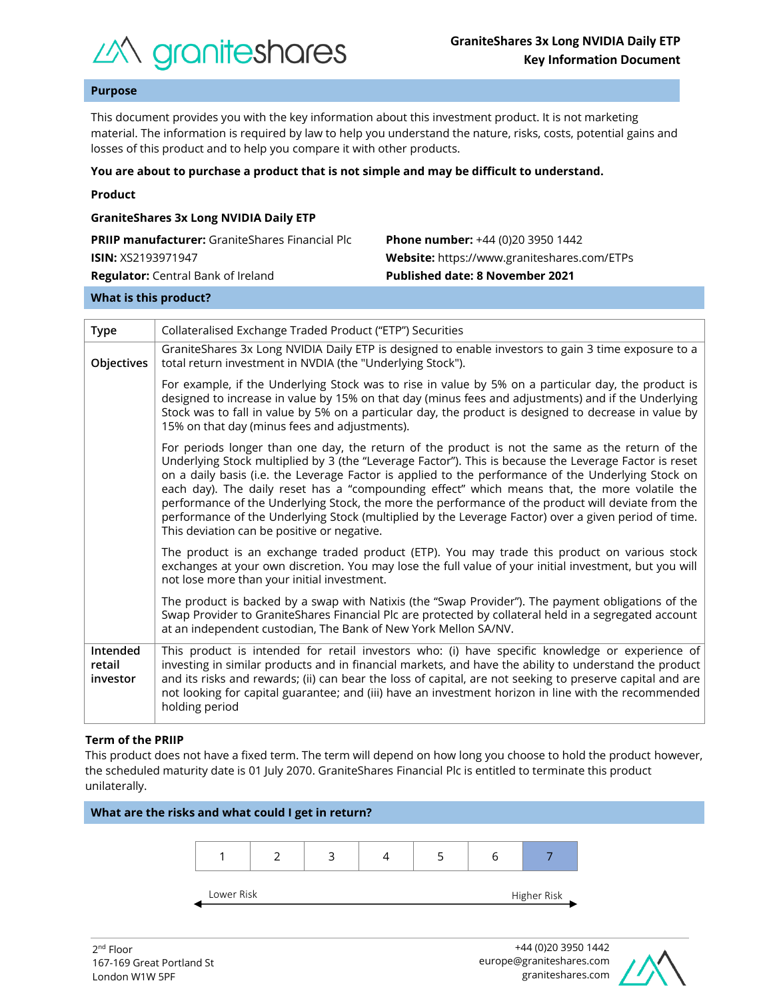

# **Purpose**

This document provides you with the key information about this investment product. It is not marketing material. The information is required by law to help you understand the nature, risks, costs, potential gains and losses of this product and to help you compare it with other products.

#### **You are about to purchase a product that is not simple and may be difficult to understand.**

|  | Product |  |
|--|---------|--|
|  |         |  |

| <b>GraniteShares 3x Long NVIDIA Daily ETP</b>          |                                             |  |  |  |  |
|--------------------------------------------------------|---------------------------------------------|--|--|--|--|
| <b>PRIIP manufacturer:</b> GraniteShares Financial Plc | <b>Phone number:</b> +44 (0)20 3950 1442    |  |  |  |  |
| <b>ISIN: XS2193971947</b>                              | Website: https://www.graniteshares.com/ETPs |  |  |  |  |
| <b>Regulator:</b> Central Bank of Ireland              | <b>Published date: 8 November 2021</b>      |  |  |  |  |
|                                                        |                                             |  |  |  |  |

## **What is this product?**

| <b>Type</b>                    | Collateralised Exchange Traded Product ("ETP") Securities                                                                                                                                                                                                                                                                                                                                                                                                                                                                                                                                                                                                                      |  |  |  |
|--------------------------------|--------------------------------------------------------------------------------------------------------------------------------------------------------------------------------------------------------------------------------------------------------------------------------------------------------------------------------------------------------------------------------------------------------------------------------------------------------------------------------------------------------------------------------------------------------------------------------------------------------------------------------------------------------------------------------|--|--|--|
| Objectives                     | GraniteShares 3x Long NVIDIA Daily ETP is designed to enable investors to gain 3 time exposure to a<br>total return investment in NVDIA (the "Underlying Stock").                                                                                                                                                                                                                                                                                                                                                                                                                                                                                                              |  |  |  |
|                                | For example, if the Underlying Stock was to rise in value by 5% on a particular day, the product is<br>designed to increase in value by 15% on that day (minus fees and adjustments) and if the Underlying<br>Stock was to fall in value by 5% on a particular day, the product is designed to decrease in value by<br>15% on that day (minus fees and adjustments).                                                                                                                                                                                                                                                                                                           |  |  |  |
|                                | For periods longer than one day, the return of the product is not the same as the return of the<br>Underlying Stock multiplied by 3 (the "Leverage Factor"). This is because the Leverage Factor is reset<br>on a daily basis (i.e. the Leverage Factor is applied to the performance of the Underlying Stock on<br>each day). The daily reset has a "compounding effect" which means that, the more volatile the<br>performance of the Underlying Stock, the more the performance of the product will deviate from the<br>performance of the Underlying Stock (multiplied by the Leverage Factor) over a given period of time.<br>This deviation can be positive or negative. |  |  |  |
|                                | The product is an exchange traded product (ETP). You may trade this product on various stock<br>exchanges at your own discretion. You may lose the full value of your initial investment, but you will<br>not lose more than your initial investment.                                                                                                                                                                                                                                                                                                                                                                                                                          |  |  |  |
|                                | The product is backed by a swap with Natixis (the "Swap Provider"). The payment obligations of the<br>Swap Provider to GraniteShares Financial Plc are protected by collateral held in a segregated account<br>at an independent custodian, The Bank of New York Mellon SA/NV.                                                                                                                                                                                                                                                                                                                                                                                                 |  |  |  |
| Intended<br>retail<br>investor | This product is intended for retail investors who: (i) have specific knowledge or experience of<br>investing in similar products and in financial markets, and have the ability to understand the product<br>and its risks and rewards; (ii) can bear the loss of capital, are not seeking to preserve capital and are<br>not looking for capital guarantee; and (iii) have an investment horizon in line with the recommended<br>holding period                                                                                                                                                                                                                               |  |  |  |

## **Term of the PRIIP**

This product does not have a fixed term. The term will depend on how long you choose to hold the product however, the scheduled maturity date is 01 July 2070. GraniteShares Financial Plc is entitled to terminate this product unilaterally.



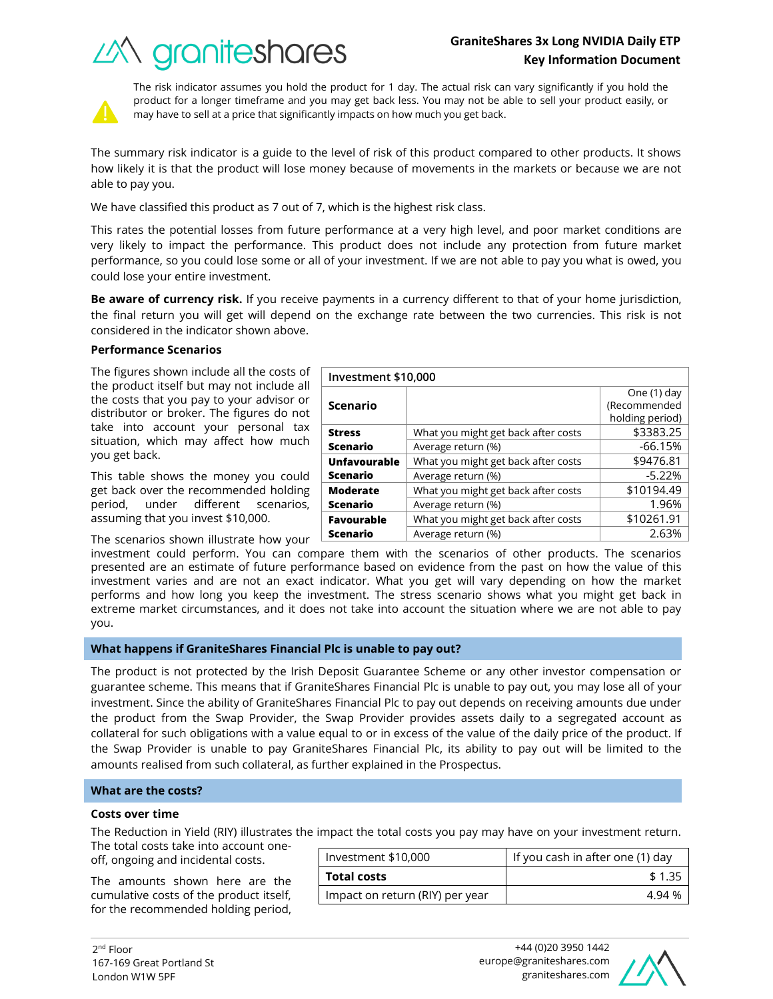# **GraniteShares 3x Long NVIDIA Daily ETP Key Information Document**

What you might get back after costs  $\sim$  \$3383.25 Average return (%) and the set of the set of  $-66.15\%$ 

What you might get back after costs  $\sim$  \$9476.81 Average return  $(\%)$   $\qquad \qquad$   $\qquad$  -5.22%

What you might get back after costs  $\vert$  \$10194.49 Average return (%) and the set of the 1.96%





The risk indicator assumes you hold the product for 1 day. The actual risk can vary significantly if you hold the product for a longer timeframe and you may get back less. You may not be able to sell your product easily, or may have to sell at a price that significantly impacts on how much you get back.

The summary risk indicator is a guide to the level of risk of this product compared to other products. It shows how likely it is that the product will lose money because of movements in the markets or because we are not able to pay you.

We have classified this product as 7 out of 7, which is the highest risk class.

This rates the potential losses from future performance at a very high level, and poor market conditions are very likely to impact the performance. This product does not include any protection from future market performance, so you could lose some or all of your investment. If we are not able to pay you what is owed, you could lose your entire investment.

**Be aware of currency risk.** If you receive payments in a currency different to that of your home jurisdiction, the final return you will get will depend on the exchange rate between the two currencies. This risk is not considered in the indicator shown above.

**Investment \$10,000**

**Scenario**

**Unfavourable Scenario**

**Moderate Scenario**

**Stress Scenario**

## **Performance Scenarios**

The figures shown include all the costs of the product itself but may not include all the costs that you pay to your advisor or distributor or broker. The figures do not take into account your personal tax situation, which may affect how much you get back.

This table shows the money you could get back over the recommended holding period, under different scenarios, assuming that you invest \$10,000.

The scenarios shown illustrate how your

investment could perform. You can compare them with the scenarios of other products. The scenarios presented are an estimate of future performance based on evidence from the past on how the value of this investment varies and are not an exact indicator. What you get will vary depending on how the market performs and how long you keep the investment. The stress scenario shows what you might get back in extreme market circumstances, and it does not take into account the situation where we are not able to pay you. **Favourable Scenario** What you might get back after costs  $\vert$  \$10261.91 Average return (%) and the control of the control of the 2.63%

## **What happens if GraniteShares Financial Plc is unable to pay out?**

The product is not protected by the Irish Deposit Guarantee Scheme or any other investor compensation or guarantee scheme. This means that if GraniteShares Financial Plc is unable to pay out, you may lose all of your investment. Since the ability of GraniteShares Financial Plc to pay out depends on receiving amounts due under the product from the Swap Provider, the Swap Provider provides assets daily to a segregated account as collateral for such obligations with a value equal to or in excess of the value of the daily price of the product. If the Swap Provider is unable to pay GraniteShares Financial Plc, its ability to pay out will be limited to the amounts realised from such collateral, as further explained in the Prospectus.

## **What are the costs?**

#### **Costs over time**

The Reduction in Yield (RIY) illustrates the impact the total costs you pay may have on your investment return.

The total costs take into account oneoff, ongoing and incidental costs.

The amounts shown here are the cumulative costs of the product itself, for the recommended holding period,

| Investment \$10,000             | If you cash in after one (1) day |  |
|---------------------------------|----------------------------------|--|
| <b>Total costs</b>              | \$1.35                           |  |
| Impact on return (RIY) per year | 494%                             |  |



One (1) day (Recommended holding period)